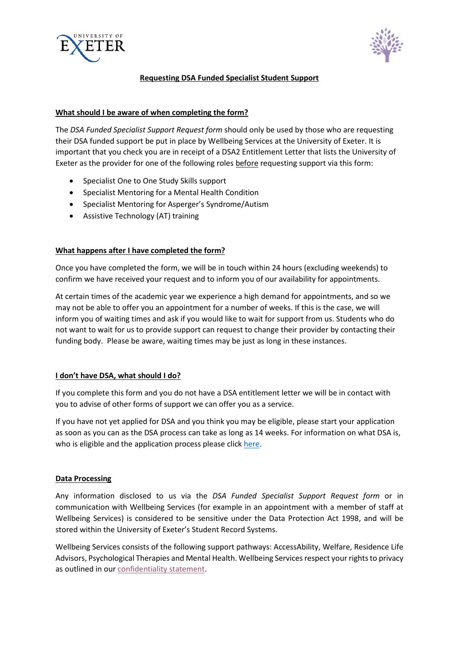



## **Requesting DSA Funded Specialist Student Support**

## **What should I be aware of when completing the form?**

The *DSA Funded Specialist Support Request form* should only be used by those who are requesting their DSA funded support be put in place by Wellbeing Services at the University of Exeter. It is important that you check you are in receipt of a DSA2 Entitlement Letter that lists the University of Exeter as the provider for one of the following roles before requesting support via this form:

- Specialist One to One Study Skills support
- Specialist Mentoring for a Mental Health Condition
- Specialist Mentoring for Asperger's Syndrome/Autism
- Assistive Technology (AT) training

## **What happens after I have completed the form?**

Once you have completed the form, we will be in touch within 24 hours (excluding weekends) to confirm we have received your request and to inform you of our availability for appointments.

At certain times of the academic year we experience a high demand for appointments, and so we may not be able to offer you an appointment for a number of weeks. If this is the case, we will inform you of waiting times and ask if you would like to wait for support from us. Students who do not want to wait for us to provide support can request to change their provider by contacting their funding body. Please be aware, waiting times may be just as long in these instances.

#### **I don't have DSA, what should I do?**

If you complete this form and you do not have a DSA entitlement letter we will be in contact with you to advise of other forms of support we can offer you as a service.

If you have not yet applied for DSA and you think you may be eligible, please start your application as soon as you can as the DSA process can take as long as 14 weeks. For information on what DSA is, who is eligible and the application process please click [here.](http://www.exeter.ac.uk/wellbeing/fundingyoursupport/)

# **Data Processing**

Any information disclosed to us via the *DSA Funded Specialist Support Request form* or in communication with Wellbeing Services (for example in an appointment with a member of staff at Wellbeing Services) is considered to be sensitive under the Data Protection Act 1998, and will be stored within the University of Exeter's Student Record Systems.

Wellbeing Services consists of the following support pathways: AccessAbility, Welfare, Residence Life Advisors, Psychological Therapies and Mental Health. Wellbeing Services respect your rights to privacy as outlined in ou[r confidentiality statement.](http://www.exeter.ac.uk/wellbeing/about/policies/)